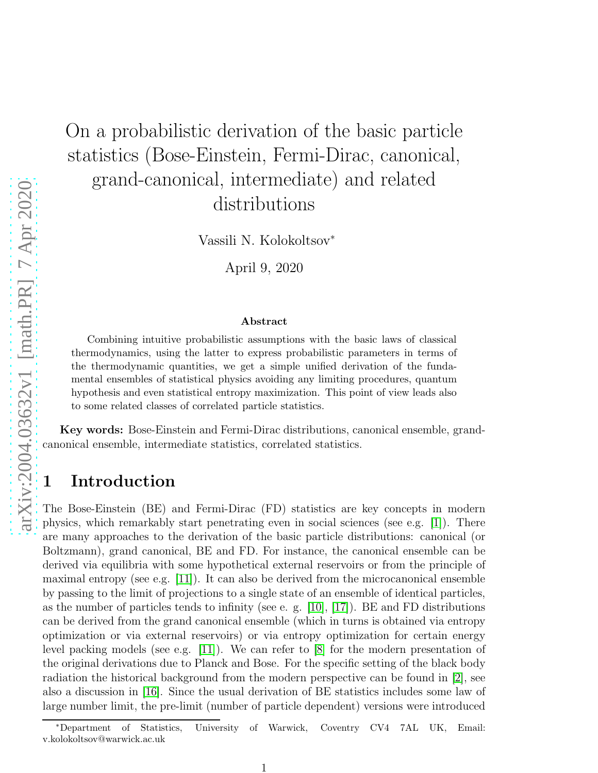# On a probabilistic derivation of the basic particle statistics (Bose-Einstein, Fermi-Dirac, canonical, grand-canonical, intermediate) and related distributions

Vassili N. Kolokoltsov<sup>∗</sup>

April 9, 2020

#### Abstract

Combining intuitive probabilistic assumptions with the basic laws of classical thermodynamics, using the latter to express probabilistic parameters in terms of the thermodynamic quantities, we get a simple unified derivation of the fundamental ensembles of statistical physics avoiding any limiting procedures, quantum hypothesis and even statistical entropy maximization. This point of view leads also to some related classes of correlated particle statistics.

Key words: Bose-Einstein and Fermi-Dirac distributions, canonical ensemble, grandcanonical ensemble, intermediate statistics, correlated statistics.

### 1 Introduction

The Bose-Einstein (BE) and Fermi-Dirac (FD) statistics are key concepts in modern physics, which remarkably start penetrating even in social sciences (see e.g. [\[1\]](#page-10-0)). There are many approaches to the derivation of the basic particle distributions: canonical (or Boltzmann), grand canonical, BE and FD. For instance, the canonical ensemble can be derived via equilibria with some hypothetical external reservoirs or from the principle of maximal entropy (see e.g. [\[11\]](#page-11-0)). It can also be derived from the microcanonical ensemble by passing to the limit of projections to a single state of an ensemble of identical particles, as the number of particles tends to infinity (see e. g. [\[10\]](#page-11-1), [\[17\]](#page-11-2)). BE and FD distributions can be derived from the grand canonical ensemble (which in turns is obtained via entropy optimization or via external reservoirs) or via entropy optimization for certain energy level packing models (see e.g. [\[11\]](#page-11-0)). We can refer to [\[8\]](#page-11-3) for the modern presentation of the original derivations due to Planck and Bose. For the specific setting of the black body radiation the historical background from the modern perspective can be found in [\[2\]](#page-10-1), see also a discussion in [\[16\]](#page-11-4). Since the usual derivation of BE statistics includes some law of large number limit, the pre-limit (number of particle dependent) versions were introduced

<sup>∗</sup>Department of Statistics, University of Warwick, Coventry CV4 7AL UK, Email: v.kolokoltsov@warwick.ac.uk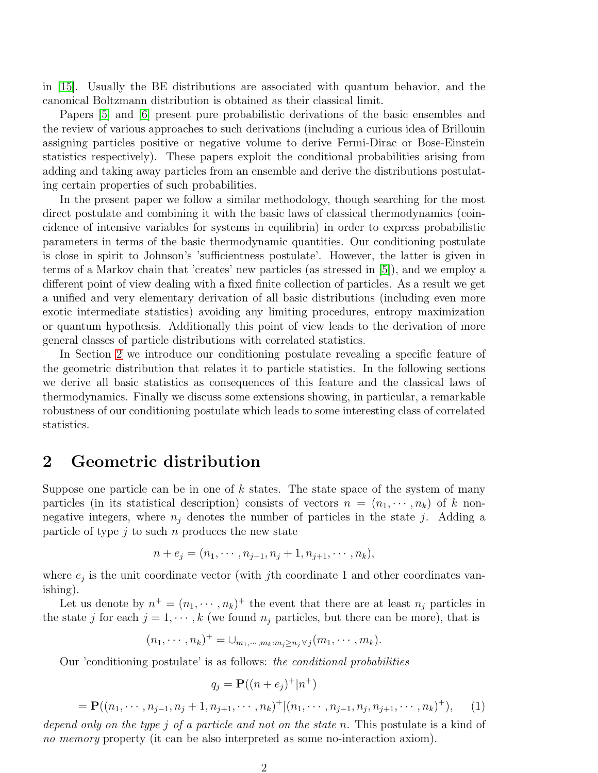in [\[15\]](#page-11-5). Usually the BE distributions are associated with quantum behavior, and the canonical Boltzmann distribution is obtained as their classical limit.

Papers [\[5\]](#page-11-6) and [\[6\]](#page-11-7) present pure probabilistic derivations of the basic ensembles and the review of various approaches to such derivations (including a curious idea of Brillouin assigning particles positive or negative volume to derive Fermi-Dirac or Bose-Einstein statistics respectively). These papers exploit the conditional probabilities arising from adding and taking away particles from an ensemble and derive the distributions postulating certain properties of such probabilities.

In the present paper we follow a similar methodology, though searching for the most direct postulate and combining it with the basic laws of classical thermodynamics (coincidence of intensive variables for systems in equilibria) in order to express probabilistic parameters in terms of the basic thermodynamic quantities. Our conditioning postulate is close in spirit to Johnson's 'sufficientness postulate'. However, the latter is given in terms of a Markov chain that 'creates' new particles (as stressed in [\[5\]](#page-11-6)), and we employ a different point of view dealing with a fixed finite collection of particles. As a result we get a unified and very elementary derivation of all basic distributions (including even more exotic intermediate statistics) avoiding any limiting procedures, entropy maximization or quantum hypothesis. Additionally this point of view leads to the derivation of more general classes of particle distributions with correlated statistics.

In Section [2](#page-1-0) we introduce our conditioning postulate revealing a specific feature of the geometric distribution that relates it to particle statistics. In the following sections we derive all basic statistics as consequences of this feature and the classical laws of thermodynamics. Finally we discuss some extensions showing, in particular, a remarkable robustness of our conditioning postulate which leads to some interesting class of correlated statistics.

#### <span id="page-1-0"></span>2 Geometric distribution

Suppose one particle can be in one of  $k$  states. The state space of the system of many particles (in its statistical description) consists of vectors  $n = (n_1, \dots, n_k)$  of k nonnegative integers, where  $n_i$  denotes the number of particles in the state j. Adding a particle of type  $j$  to such  $n$  produces the new state

$$
n + e_j = (n_1, \cdots, n_{j-1}, n_j + 1, n_{j+1}, \cdots, n_k),
$$

where  $e_j$  is the unit coordinate vector (with jth coordinate 1 and other coordinates vanishing).

Let us denote by  $n^+ = (n_1, \dots, n_k)^+$  the event that there are at least  $n_j$  particles in the state j for each  $j = 1, \dots, k$  (we found  $n_j$  particles, but there can be more), that is

$$
(n_1, \cdots, n_k)^+ = \cup_{m_1, \cdots, m_k : m_j \ge n_j \forall j} (m_1, \cdots, m_k).
$$

Our 'conditioning postulate' is as follows: the conditional probabilities

<span id="page-1-1"></span>
$$
q_j = \mathbf{P}((n+e_j)^+|n^+)
$$
  
=  $\mathbf{P}((n_1, \dots, n_{j-1}, n_j+1, n_{j+1}, \dots, n_k)^+|(n_1, \dots, n_{j-1}, n_j, n_{j+1}, \dots, n_k)^+),$  (1)  
and only on the true *j* of a particle and not on the state *n*. This postulate is a kind of

depend only on the type j of a particle and not on the state n. This postulate is a kind of no memory property (it can be also interpreted as some no-interaction axiom).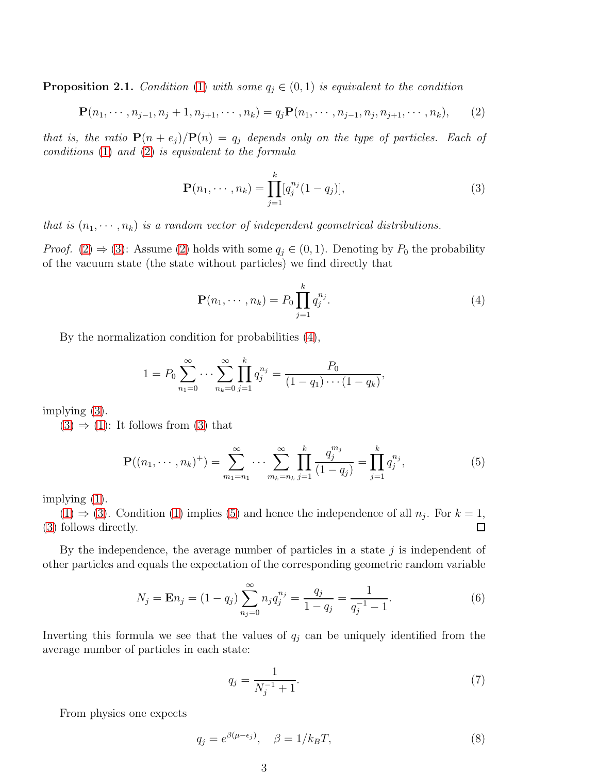**Proposition 2.1.** Condition [\(1\)](#page-1-1) with some  $q_j \in (0,1)$  is equivalent to the condition

<span id="page-2-0"></span>
$$
\mathbf{P}(n_1, \cdots, n_{j-1}, n_j + 1, n_{j+1}, \cdots, n_k) = q_j \mathbf{P}(n_1, \cdots, n_{j-1}, n_j, n_{j+1}, \cdots, n_k), \qquad (2)
$$

that is, the ratio  $P(n + e_j)/P(n) = q_j$  depends only on the type of particles. Each of conditions [\(1\)](#page-1-1) and [\(2\)](#page-2-0) is equivalent to the formula

<span id="page-2-1"></span>
$$
\mathbf{P}(n_1, \cdots, n_k) = \prod_{j=1}^k [q_j^{n_j}(1-q_j)],\tag{3}
$$

that is  $(n_1, \dots, n_k)$  is a random vector of independent geometrical distributions.

*Proof.* [\(2\)](#page-2-0)  $\Rightarrow$  [\(3\)](#page-2-1): Assume [\(2\)](#page-2-0) holds with some  $q_j \in (0,1)$ . Denoting by  $P_0$  the probability of the vacuum state (the state without particles) we find directly that

<span id="page-2-2"></span>
$$
\mathbf{P}(n_1, \cdots, n_k) = P_0 \prod_{j=1}^k q_j^{n_j}.
$$
 (4)

By the normalization condition for probabilities [\(4\)](#page-2-2),

$$
1 = P_0 \sum_{n_1=0}^{\infty} \cdots \sum_{n_k=0}^{\infty} \prod_{j=1}^k q_j^{n_j} = \frac{P_0}{(1-q_1)\cdots(1-q_k)},
$$

implying [\(3\)](#page-2-1).

 $(3) \Rightarrow (1)$  $(3) \Rightarrow (1)$  $(3) \Rightarrow (1)$ : It follows from  $(3)$  that

<span id="page-2-3"></span>
$$
\mathbf{P}((n_1, \cdots, n_k)^+) = \sum_{m_1=n_1}^{\infty} \cdots \sum_{m_k=n_k}^{\infty} \prod_{j=1}^k \frac{q_j^{m_j}}{(1-q_j)} = \prod_{j=1}^k q_j^{n_j},\tag{5}
$$

implying [\(1\)](#page-1-1).

 $(1) \Rightarrow (3)$  $(1) \Rightarrow (3)$  $(1) \Rightarrow (3)$ . Condition [\(1\)](#page-1-1) implies [\(5\)](#page-2-3) and hence the independence of all  $n_j$ . For  $k = 1$ , [\(3\)](#page-2-1) follows directly.  $\Box$ 

By the independence, the average number of particles in a state  $j$  is independent of other particles and equals the expectation of the corresponding geometric random variable

<span id="page-2-4"></span>
$$
N_j = \mathbf{E} n_j = (1 - q_j) \sum_{n_j=0}^{\infty} n_j q_j^{n_j} = \frac{q_j}{1 - q_j} = \frac{1}{q_j^{-1} - 1}.
$$
 (6)

Inverting this formula we see that the values of  $q_j$  can be uniquely identified from the average number of particles in each state:

$$
q_j = \frac{1}{N_j^{-1} + 1}.\tag{7}
$$

From physics one expects

<span id="page-2-5"></span>
$$
q_j = e^{\beta(\mu - \epsilon_j)}, \quad \beta = 1/k_B T,\tag{8}
$$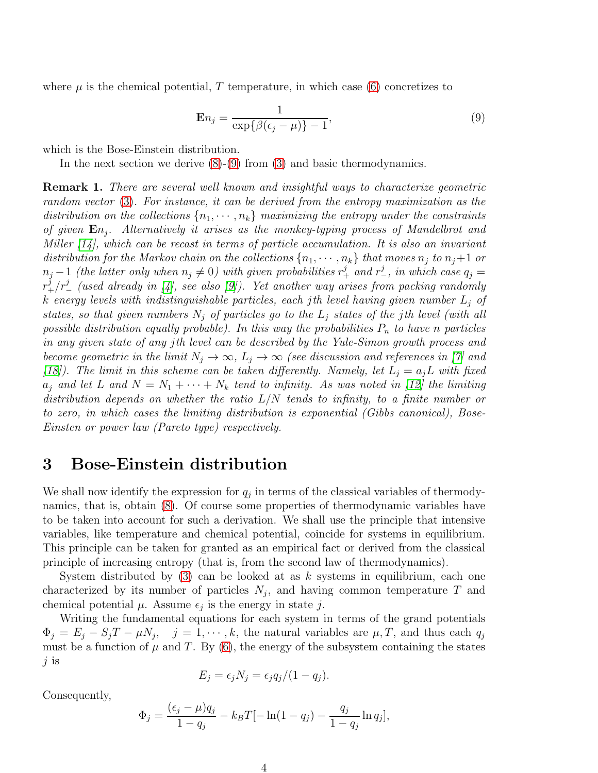where  $\mu$  is the chemical potential, T temperature, in which case [\(6\)](#page-2-4) concretizes to

<span id="page-3-0"></span>
$$
\mathbf{E}n_j = \frac{1}{\exp\{\beta(\epsilon_j - \mu)\} - 1},\tag{9}
$$

which is the Bose-Einstein distribution.

In the next section we derive [\(8\)](#page-2-5)-[\(9\)](#page-3-0) from [\(3\)](#page-2-1) and basic thermodynamics.

**Remark 1.** There are several well known and insightful ways to characterize geometric random vector [\(3\)](#page-2-1). For instance, it can be derived from the entropy maximization as the distribution on the collections  $\{n_1, \dots, n_k\}$  maximizing the entropy under the constraints of given  $En_j$ . Alternatively it arises as the monkey-typing process of Mandelbrot and Miller [\[14\]](#page-11-8), which can be recast in terms of particle accumulation. It is also an invariant distribution for the Markov chain on the collections  $\{n_1, \dots, n_k\}$  that moves  $n_i$  to  $n_j+1$  or  $n_j-1$  (the latter only when  $n_j \neq 0$ ) with given probabilities  $r_+^j$  and  $r_-^j$ , in which case  $q_j =$  $r_{+}^{\tilde{j}}/r_{-}^j$  (used already in [\[4\]](#page-10-2), see also [\[9\]](#page-11-9)). Yet another way arises from packing randomly k energy levels with indistinguishable particles, each jth level having given number  $L_i$  of states, so that given numbers  $N_j$  of particles go to the  $L_j$  states of the jth level (with all possible distribution equally probable). In this way the probabilities  $P_n$  to have n particles in any given state of any jth level can be described by the Yule-Simon growth process and become geometric in the limit  $N_j \to \infty$ ,  $L_j \to \infty$  (see discussion and references in [\[7\]](#page-11-10) and [\[18\]](#page-11-11)). The limit in this scheme can be taken differently. Namely, let  $L_i = a_i L$  with fixed  $a_j$  and let L and  $N = N_1 + \cdots + N_k$  tend to infinity. As was noted in [\[12\]](#page-11-12) the limiting distribution depends on whether the ratio  $L/N$  tends to infinity, to a finite number or to zero, in which cases the limiting distribution is exponential (Gibbs canonical), Bose-Einsten or power law (Pareto type) respectively.

#### 3 Bose-Einstein distribution

We shall now identify the expression for  $q_j$  in terms of the classical variables of thermodynamics, that is, obtain [\(8\)](#page-2-5). Of course some properties of thermodynamic variables have to be taken into account for such a derivation. We shall use the principle that intensive variables, like temperature and chemical potential, coincide for systems in equilibrium. This principle can be taken for granted as an empirical fact or derived from the classical principle of increasing entropy (that is, from the second law of thermodynamics).

System distributed by  $(3)$  can be looked at as k systems in equilibrium, each one characterized by its number of particles  $N_j$ , and having common temperature T and chemical potential  $\mu$ . Assume  $\epsilon_j$  is the energy in state j.

Writing the fundamental equations for each system in terms of the grand potentials  $\Phi_j = E_j - S_j T - \mu N_j$ ,  $j = 1, \dots, k$ , the natural variables are  $\mu, T$ , and thus each  $q_j$ must be a function of  $\mu$  and T. By [\(6\)](#page-2-4), the energy of the subsystem containing the states j is

$$
E_j = \epsilon_j N_j = \epsilon_j q_j/(1 - q_j).
$$

Consequently,

$$
\Phi_j = \frac{(\epsilon_j - \mu)q_j}{1 - q_j} - k_B T[-\ln(1 - q_j) - \frac{q_j}{1 - q_j}\ln q_j],
$$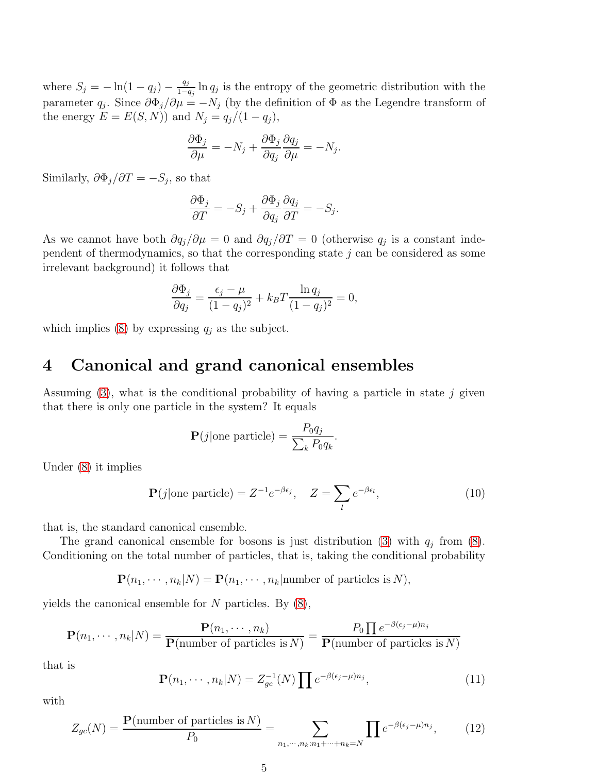where  $S_j = -\ln(1 - q_j) - \frac{q_j}{1 - q_j}$  $\frac{q_j}{1-q_j}$  ln  $q_j$  is the entropy of the geometric distribution with the parameter  $q_j$ . Since  $\partial \Phi_j / \partial \mu = -N_j$  (by the definition of  $\Phi$  as the Legendre transform of the energy  $E = E(S, N)$  and  $N_j = q_j/(1 - q_j)$ ,

$$
\frac{\partial \Phi_j}{\partial \mu} = -N_j + \frac{\partial \Phi_j}{\partial q_j} \frac{\partial q_j}{\partial \mu} = -N_j.
$$

Similarly,  $\partial \Phi_j / \partial T = -S_j$ , so that

$$
\frac{\partial \Phi_j}{\partial T} = -S_j + \frac{\partial \Phi_j}{\partial q_j} \frac{\partial q_j}{\partial T} = -S_j.
$$

As we cannot have both  $\partial q_j/\partial \mu = 0$  and  $\partial q_j/\partial T = 0$  (otherwise  $q_j$  is a constant independent of thermodynamics, so that the corresponding state  $j$  can be considered as some irrelevant background) it follows that

$$
\frac{\partial \Phi_j}{\partial q_j} = \frac{\epsilon_j - \mu}{(1 - q_j)^2} + k_B T \frac{\ln q_j}{(1 - q_j)^2} = 0,
$$

which implies [\(8\)](#page-2-5) by expressing  $q_j$  as the subject.

#### 4 Canonical and grand canonical ensembles

Assuming  $(3)$ , what is the conditional probability of having a particle in state j given that there is only one particle in the system? It equals

$$
\mathbf{P}(j|\text{one particle}) = \frac{P_0 q_j}{\sum_k P_0 q_k}.
$$

Under [\(8\)](#page-2-5) it implies

<span id="page-4-0"></span>
$$
\mathbf{P}(j|\text{one particle}) = Z^{-1}e^{-\beta\epsilon_j}, \quad Z = \sum_{l} e^{-\beta\epsilon_l}, \tag{10}
$$

that is, the standard canonical ensemble.

The grand canonical ensemble for bosons is just distribution [\(3\)](#page-2-1) with  $q_j$  from [\(8\)](#page-2-5). Conditioning on the total number of particles, that is, taking the conditional probability

 $\mathbf{P}(n_1, \dots, n_k | N) = \mathbf{P}(n_1, \dots, n_k | \text{number of particles is } N),$ 

yields the canonical ensemble for  $N$  particles. By  $(8)$ ,

$$
\mathbf{P}(n_1, \cdots, n_k | N) = \frac{\mathbf{P}(n_1, \cdots, n_k)}{\mathbf{P}(\text{number of particles is } N)} = \frac{P_0 \prod e^{-\beta(\epsilon_j - \mu) n_j}}{\mathbf{P}(\text{number of particles is } N)}
$$

that is

$$
\mathbf{P}(n_1, \cdots, n_k | N) = Z_{gc}^{-1}(N) \prod e^{-\beta(\epsilon_j - \mu)n_j}, \qquad (11)
$$

with

$$
Z_{gc}(N) = \frac{\mathbf{P}(\text{number of particles is } N)}{P_0} = \sum_{n_1, \cdots, n_k: n_1 + \cdots + n_k = N} \prod e^{-\beta(\epsilon_j - \mu)n_j},\tag{12}
$$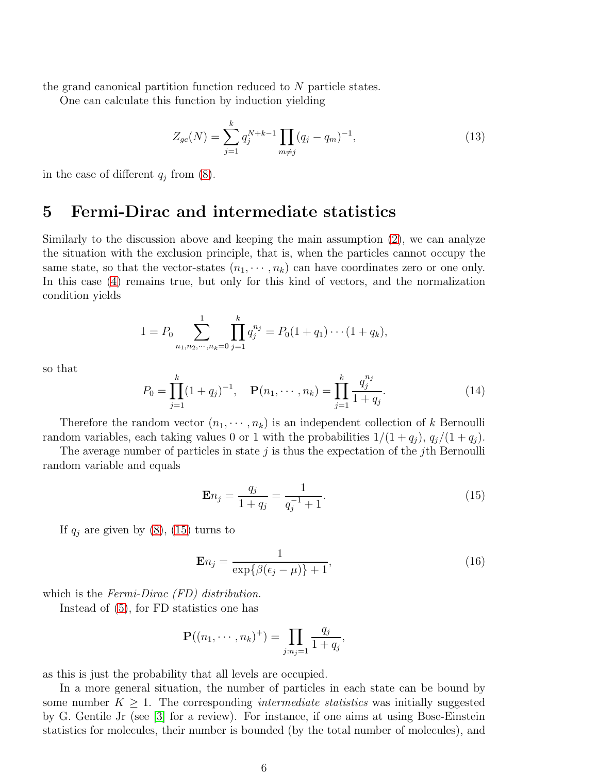the grand canonical partition function reduced to N particle states.

One can calculate this function by induction yielding

<span id="page-5-1"></span>
$$
Z_{gc}(N) = \sum_{j=1}^{k} q_j^{N+k-1} \prod_{m \neq j} (q_j - q_m)^{-1}, \qquad (13)
$$

in the case of different  $q_j$  from  $(8)$ .

#### 5 Fermi-Dirac and intermediate statistics

Similarly to the discussion above and keeping the main assumption [\(2\)](#page-2-0), we can analyze the situation with the exclusion principle, that is, when the particles cannot occupy the same state, so that the vector-states  $(n_1, \dots, n_k)$  can have coordinates zero or one only. In this case [\(4\)](#page-2-2) remains true, but only for this kind of vectors, and the normalization condition yields

$$
1 = P_0 \sum_{n_1, n_2, \cdots, n_k = 0}^{1} \prod_{j=1}^{k} q_j^{n_j} = P_0(1 + q_1) \cdots (1 + q_k),
$$

so that

$$
P_0 = \prod_{j=1}^k (1+q_j)^{-1}, \quad \mathbf{P}(n_1, \cdots, n_k) = \prod_{j=1}^k \frac{q_j^{n_j}}{1+q_j}.
$$
 (14)

Therefore the random vector  $(n_1, \dots, n_k)$  is an independent collection of k Bernoulli random variables, each taking values 0 or 1 with the probabilities  $1/(1+q_i)$ ,  $q_i/(1+q_i)$ .

The average number of particles in state  $j$  is thus the expectation of the *j*th Bernoulli random variable and equals

<span id="page-5-0"></span>
$$
\mathbf{E}n_j = \frac{q_j}{1 + q_j} = \frac{1}{q_j^{-1} + 1}.
$$
\n(15)

If  $q_j$  are given by  $(8)$ ,  $(15)$  turns to

$$
\mathbf{E}n_j = \frac{1}{\exp\{\beta(\epsilon_j - \mu)\} + 1},\tag{16}
$$

which is the Fermi-Dirac *(FD)* distribution.

Instead of [\(5\)](#page-2-3), for FD statistics one has

$$
\mathbf{P}((n_1,\dots,n_k)^+) = \prod_{j:n_j=1} \frac{q_j}{1+q_j},
$$

as this is just the probability that all levels are occupied.

In a more general situation, the number of particles in each state can be bound by some number  $K \geq 1$ . The corresponding *intermediate statistics* was initially suggested by G. Gentile Jr (see [\[3\]](#page-10-3) for a review). For instance, if one aims at using Bose-Einstein statistics for molecules, their number is bounded (by the total number of molecules), and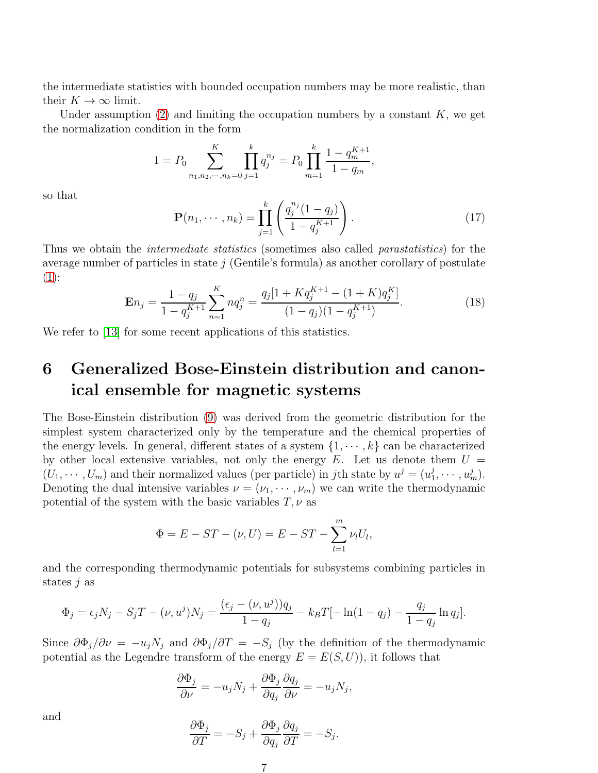the intermediate statistics with bounded occupation numbers may be more realistic, than their  $K \to \infty$  limit.

Under assumption  $(2)$  and limiting the occupation numbers by a constant K, we get the normalization condition in the form

$$
1 = P_0 \sum_{n_1, n_2, \cdots, n_k = 0}^{K} \prod_{j=1}^{k} q_j^{n_j} = P_0 \prod_{m=1}^{k} \frac{1 - q_m^{K+1}}{1 - q_m},
$$

so that

$$
\mathbf{P}(n_1, \cdots, n_k) = \prod_{j=1}^k \left( \frac{q_j^{n_j} (1 - q_j)}{1 - q_j^{K+1}} \right).
$$
 (17)

Thus we obtain the *intermediate statistics* (sometimes also called *parastatistics*) for the average number of particles in state  $j$  (Gentile's formula) as another corollary of postulate  $(1)$ :

<span id="page-6-0"></span>
$$
\mathbf{E}n_j = \frac{1 - q_j}{1 - q_j^{K+1}} \sum_{n=1}^{K} n q_j^n = \frac{q_j [1 + K q_j^{K+1} - (1 + K) q_j^{K}]}{(1 - q_j)(1 - q_j^{K+1})}.
$$
(18)

We refer to [\[13\]](#page-11-13) for some recent applications of this statistics.

## 6 Generalized Bose-Einstein distribution and canonical ensemble for magnetic systems

The Bose-Einstein distribution [\(9\)](#page-3-0) was derived from the geometric distribution for the simplest system characterized only by the temperature and the chemical properties of the energy levels. In general, different states of a system  $\{1, \dots, k\}$  can be characterized by other local extensive variables, not only the energy  $E$ . Let us denote them  $U =$  $(U_1, \dots, U_m)$  and their normalized values (per particle) in jth state by  $u^j = (u_1^j)$  $i_1^j,\cdots, i_m^j$ . Denoting the dual intensive variables  $\nu = (\nu_1, \dots, \nu_m)$  we can write the thermodynamic potential of the system with the basic variables  $T, \nu$  as

$$
\Phi = E - ST - (\nu, U) = E - ST - \sum_{l=1}^{m} \nu_l U_l,
$$

and the corresponding thermodynamic potentials for subsystems combining particles in states  $j$  as

$$
\Phi_j = \epsilon_j N_j - S_j T - (\nu, u^j) N_j = \frac{(\epsilon_j - (\nu, u^j)) q_j}{1 - q_j} - k_B T [-\ln(1 - q_j) - \frac{q_j}{1 - q_j} \ln q_j].
$$

Since  $\partial \Phi_j / \partial \nu = -u_j N_j$  and  $\partial \Phi_j / \partial T = -S_j$  (by the definition of the thermodynamic potential as the Legendre transform of the energy  $E = E(S, U)$ , it follows that

$$
\frac{\partial \Phi_j}{\partial \nu} = -u_j N_j + \frac{\partial \Phi_j}{\partial q_j} \frac{\partial q_j}{\partial \nu} = -u_j N_j,
$$

and

$$
\frac{\partial \Phi_j}{\partial T} = -S_j + \frac{\partial \Phi_j}{\partial q_j} \frac{\partial q_j}{\partial T} = -S_j
$$

.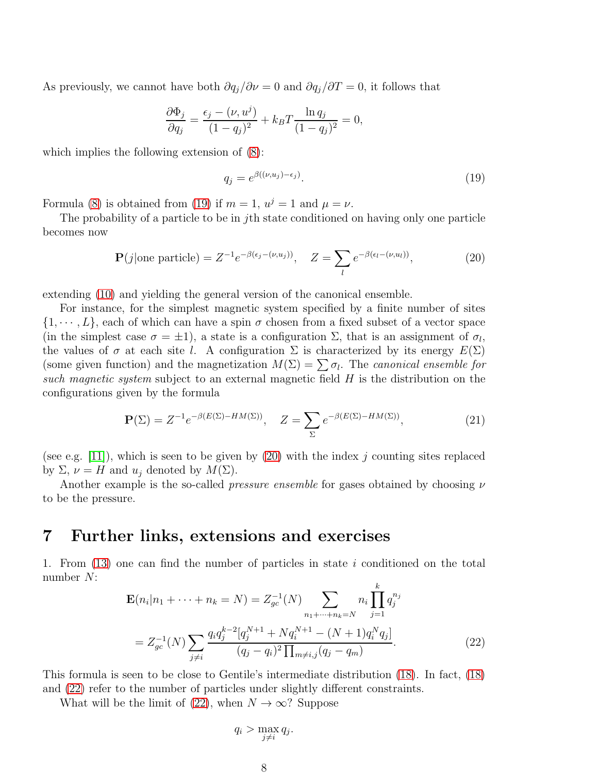As previously, we cannot have both  $\partial q_i/\partial \nu = 0$  and  $\partial q_i/\partial T = 0$ , it follows that

$$
\frac{\partial \Phi_j}{\partial q_j} = \frac{\epsilon_j - (\nu, u^j)}{(1 - q_j)^2} + k_B T \frac{\ln q_j}{(1 - q_j)^2} = 0,
$$

which implies the following extension of [\(8\)](#page-2-5):

<span id="page-7-0"></span>
$$
q_j = e^{\beta((\nu, u_j) - \epsilon_j)}.
$$
\n(19)

Formula [\(8\)](#page-2-5) is obtained from [\(19\)](#page-7-0) if  $m = 1$ ,  $u^{j} = 1$  and  $\mu = \nu$ .

The probability of a particle to be in jth state conditioned on having only one particle becomes now

<span id="page-7-1"></span>
$$
\mathbf{P}(j|\text{one particle}) = Z^{-1} e^{-\beta(\epsilon_j - (\nu, u_j))}, \quad Z = \sum_{l} e^{-\beta(\epsilon_l - (\nu, u_l))}, \tag{20}
$$

extending [\(10\)](#page-4-0) and yielding the general version of the canonical ensemble.

For instance, for the simplest magnetic system specified by a finite number of sites  $\{1, \dots, L\}$ , each of which can have a spin  $\sigma$  chosen from a fixed subset of a vector space (in the simplest case  $\sigma = \pm 1$ ), a state is a configuration  $\Sigma$ , that is an assignment of  $\sigma_l$ , the values of  $\sigma$  at each site l. A configuration  $\Sigma$  is characterized by its energy  $E(\Sigma)$ (some given function) and the magnetization  $M(\Sigma) = \sum \sigma_l$ . The *canonical ensemble for* such magnetic system subject to an external magnetic field H is the distribution on the configurations given by the formula

$$
\mathbf{P}(\Sigma) = Z^{-1} e^{-\beta (E(\Sigma) - HM(\Sigma))}, \quad Z = \sum_{\Sigma} e^{-\beta (E(\Sigma) - HM(\Sigma))}, \tag{21}
$$

(see e.g. [\[11\]](#page-11-0)), which is seen to be given by [\(20\)](#page-7-1) with the index j counting sites replaced by  $\Sigma$ ,  $\nu = H$  and  $u_j$  denoted by  $M(\Sigma)$ .

Another example is the so-called *pressure ensemble* for gases obtained by choosing  $\nu$ to be the pressure.

#### 7 Further links, extensions and exercises

1. From [\(13\)](#page-5-1) one can find the number of particles in state i conditioned on the total number N: k

<span id="page-7-2"></span>
$$
\mathbf{E}(n_i|n_1 + \dots + n_k = N) = Z_{gc}^{-1}(N) \sum_{n_1 + \dots + n_k = N} n_i \prod_{j=1}^{k} q_j^{n_j}
$$
  
=  $Z_{gc}^{-1}(N) \sum_{j \neq i} \frac{q_i q_j^{k-2} [q_j^{N+1} + N q_i^{N+1} - (N+1) q_i^N q_j]}{(q_j - q_i)^2 \prod_{m \neq i,j} (q_j - q_m)}.$  (22)

This formula is seen to be close to Gentile's intermediate distribution [\(18\)](#page-6-0). In fact, [\(18\)](#page-6-0) and [\(22\)](#page-7-2) refer to the number of particles under slightly different constraints.

What will be the limit of [\(22\)](#page-7-2), when  $N \to \infty$ ? Suppose

$$
q_i > \max_{j \neq i} q_j.
$$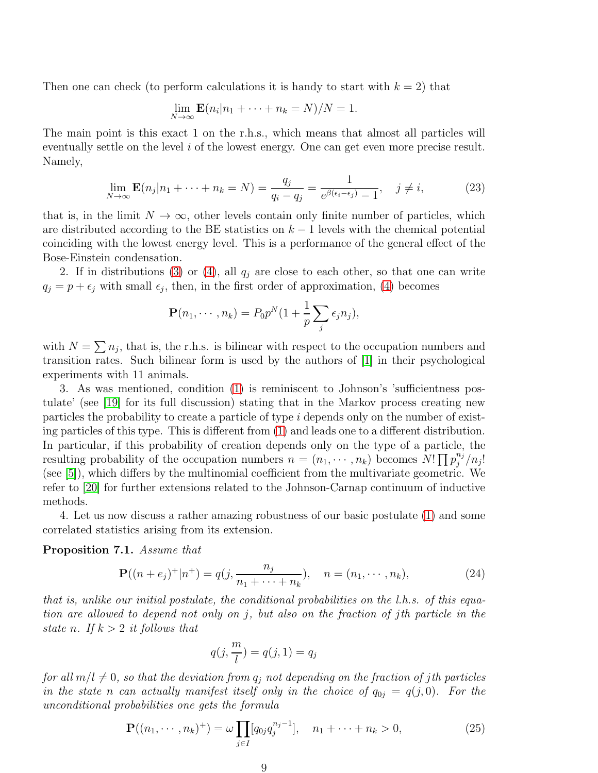Then one can check (to perform calculations it is handy to start with  $k = 2$ ) that

$$
\lim_{N \to \infty} \mathbf{E}(n_i | n_1 + \dots + n_k = N) / N = 1.
$$

The main point is this exact 1 on the r.h.s., which means that almost all particles will eventually settle on the level i of the lowest energy. One can get even more precise result. Namely,

<span id="page-8-2"></span>
$$
\lim_{N \to \infty} \mathbf{E}(n_j | n_1 + \dots + n_k = N) = \frac{q_j}{q_i - q_j} = \frac{1}{e^{\beta(\epsilon_i - \epsilon_j)} - 1}, \quad j \neq i,
$$
\n(23)

that is, in the limit  $N \to \infty$ , other levels contain only finite number of particles, which are distributed according to the BE statistics on  $k-1$  levels with the chemical potential coinciding with the lowest energy level. This is a performance of the general effect of the Bose-Einstein condensation.

2. If in distributions [\(3\)](#page-2-1) or [\(4\)](#page-2-2), all  $q_j$  are close to each other, so that one can write  $q_j = p + \epsilon_j$  with small  $\epsilon_j$ , then, in the first order of approximation, [\(4\)](#page-2-2) becomes

$$
\mathbf{P}(n_1,\cdots,n_k)=P_0p^N(1+\frac{1}{p}\sum_j\epsilon_jn_j),
$$

with  $N = \sum n_j$ , that is, the r.h.s. is bilinear with respect to the occupation numbers and transition rates. Such bilinear form is used by the authors of [\[1\]](#page-10-0) in their psychological experiments with 11 animals.

3. As was mentioned, condition [\(1\)](#page-1-1) is reminiscent to Johnson's 'sufficientness postulate' (see [\[19\]](#page-11-14) for its full discussion) stating that in the Markov process creating new particles the probability to create a particle of type i depends only on the number of existing particles of this type. This is different from [\(1\)](#page-1-1) and leads one to a different distribution. In particular, if this probability of creation depends only on the type of a particle, the resulting probability of the occupation numbers  $n = (n_1, \dots, n_k)$  becomes  $N! \prod p_j^{n_j}$  $\int_j^{n_j}/n_j!$ (see [\[5\]](#page-11-6)), which differs by the multinomial coefficient from the multivariate geometric. We refer to [\[20\]](#page-11-15) for further extensions related to the Johnson-Carnap continuum of inductive methods.

4. Let us now discuss a rather amazing robustness of our basic postulate [\(1\)](#page-1-1) and some correlated statistics arising from its extension.

<span id="page-8-3"></span>Proposition 7.1. Assume that

<span id="page-8-1"></span>
$$
\mathbf{P}((n+e_j)^+|n^+) = q(j, \frac{n_j}{n_1 + \dots + n_k}), \quad n = (n_1, \dots, n_k),
$$
\n(24)

that is, unlike our initial postulate, the conditional probabilities on the l.h.s. of this equation are allowed to depend not only on j, but also on the fraction of jth particle in the state n. If  $k > 2$  it follows that

$$
q(j, \frac{m}{l}) = q(j, 1) = q_j
$$

for all  $m/l \neq 0$ , so that the deviation from  $q_i$  not depending on the fraction of jth particles in the state n can actually manifest itself only in the choice of  $q_{0j} = q(j, 0)$ . For the unconditional probabilities one gets the formula

<span id="page-8-0"></span>
$$
\mathbf{P}((n_1, \cdots, n_k)^+) = \omega \prod_{j \in I} [q_{0j} q_j^{n_j - 1}], \quad n_1 + \cdots + n_k > 0,
$$
 (25)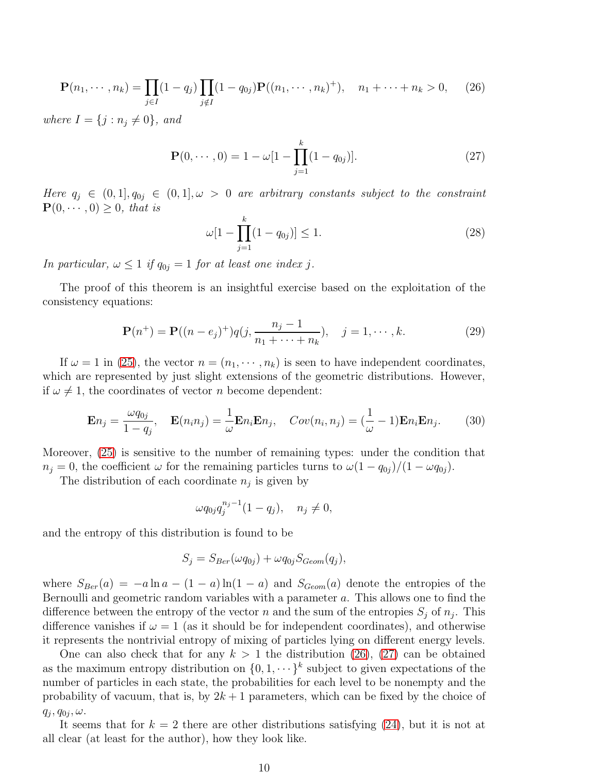<span id="page-9-0"></span>
$$
\mathbf{P}(n_1, \cdots, n_k) = \prod_{j \in I} (1 - q_j) \prod_{j \notin I} (1 - q_{0j}) \mathbf{P}((n_1, \cdots, n_k)^+), \quad n_1 + \cdots + n_k > 0,
$$
 (26)

where  $I = \{j : n_j \neq 0\}$ , and

<span id="page-9-1"></span>
$$
\mathbf{P}(0,\cdots,0) = 1 - \omega[1 - \prod_{j=1}^{k} (1 - q_{0j})].
$$
 (27)

Here  $q_j \in (0,1], q_{0j} \in (0,1], \omega > 0$  are arbitrary constants subject to the constraint  $\mathbf{P}(0, \dots, 0) \geq 0$ , that is

$$
\omega[1 - \prod_{j=1}^{k} (1 - q_{0j})] \le 1.
$$
\n(28)

In particular,  $\omega \leq 1$  if  $q_{0j} = 1$  for at least one index j.

The proof of this theorem is an insightful exercise based on the exploitation of the consistency equations:

$$
\mathbf{P}(n^{+}) = \mathbf{P}((n - e_{j})^{+})q(j, \frac{n_{j} - 1}{n_{1} + \dots + n_{k}}), \quad j = 1, \dots, k.
$$
 (29)

If  $\omega = 1$  in [\(25\)](#page-8-0), the vector  $n = (n_1, \dots, n_k)$  is seen to have independent coordinates, which are represented by just slight extensions of the geometric distributions. However, if  $\omega \neq 1$ , the coordinates of vector *n* become dependent:

$$
\mathbf{E}n_j = \frac{\omega q_{0j}}{1 - q_j}, \quad \mathbf{E}(n_i n_j) = \frac{1}{\omega} \mathbf{E}n_i \mathbf{E}n_j, \quad Cov(n_i, n_j) = (\frac{1}{\omega} - 1)\mathbf{E}n_i \mathbf{E}n_j.
$$
 (30)

Moreover, [\(25\)](#page-8-0) is sensitive to the number of remaining types: under the condition that  $n_j = 0$ , the coefficient  $\omega$  for the remaining particles turns to  $\omega(1 - q_{0j})/(1 - \omega q_{0j}).$ 

The distribution of each coordinate  $n_j$  is given by

$$
\omega q_{0j} q_j^{n_j - 1} (1 - q_j), \quad n_j \neq 0,
$$

and the entropy of this distribution is found to be

$$
S_j = S_{Ber}(\omega q_{0j}) + \omega q_{0j} S_{Geom}(q_j),
$$

where  $S_{Ber}(a) = -a \ln a - (1 - a) \ln(1 - a)$  and  $S_{Geom}(a)$  denote the entropies of the Bernoulli and geometric random variables with a parameter a. This allows one to find the difference between the entropy of the vector n and the sum of the entropies  $S_j$  of  $n_j$ . This difference vanishes if  $\omega = 1$  (as it should be for independent coordinates), and otherwise it represents the nontrivial entropy of mixing of particles lying on different energy levels.

One can also check that for any  $k > 1$  the distribution [\(26\)](#page-9-0), [\(27\)](#page-9-1) can be obtained as the maximum entropy distribution on  $\{0, 1, \dots\}^k$  subject to given expectations of the number of particles in each state, the probabilities for each level to be nonempty and the probability of vacuum, that is, by  $2k + 1$  parameters, which can be fixed by the choice of  $q_j, q_{0j}, \omega.$ 

It seems that for  $k = 2$  there are other distributions satisfying [\(24\)](#page-8-1), but it is not at all clear (at least for the author), how they look like.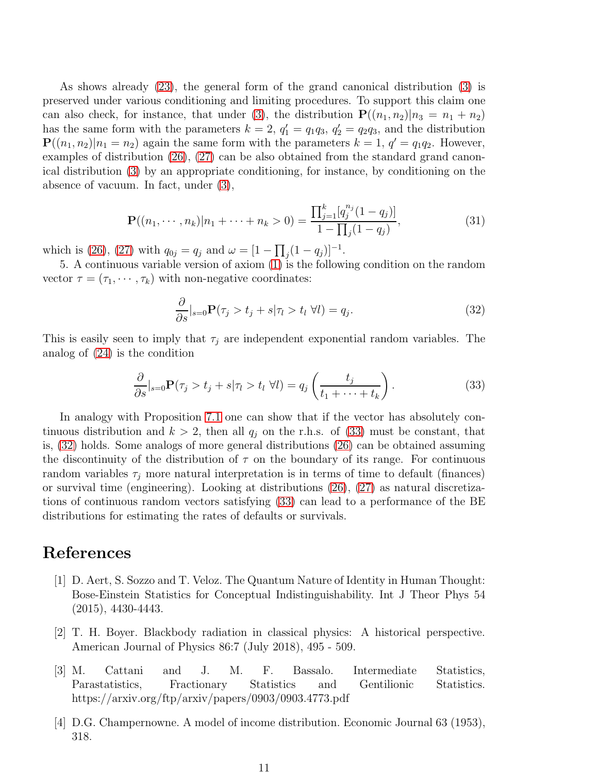As shows already [\(23\)](#page-8-2), the general form of the grand canonical distribution [\(3\)](#page-2-1) is preserved under various conditioning and limiting procedures. To support this claim one can also check, for instance, that under [\(3\)](#page-2-1), the distribution  $P((n_1, n_2)|n_3 = n_1 + n_2)$ has the same form with the parameters  $k = 2$ ,  $q'_1 = q_1q_3$ ,  $q'_2 = q_2q_3$ , and the distribution  $\mathbf{P}((n_1, n_2)|n_1 = n_2)$  again the same form with the parameters  $k = 1, q' = q_1 q_2$ . However, examples of distribution [\(26\)](#page-9-0), [\(27\)](#page-9-1) can be also obtained from the standard grand canonical distribution [\(3\)](#page-2-1) by an appropriate conditioning, for instance, by conditioning on the absence of vacuum. In fact, under [\(3\)](#page-2-1),

$$
\mathbf{P}((n_1, \cdots, n_k)|n_1 + \cdots + n_k > 0) = \frac{\prod_{j=1}^k [q_j^{n_j}(1-q_j)]}{1 - \prod_j (1-q_j)},
$$
\n(31)

which is [\(26\)](#page-9-0), [\(27\)](#page-9-1) with  $q_{0j} = q_j$  and  $\omega = [1 - \prod_j (1 - q_j)]^{-1}$ .

5. A continuous variable version of axiom [\(1\)](#page-1-1) is the following condition on the random vector  $\tau = (\tau_1, \dots, \tau_k)$  with non-negative coordinates:

<span id="page-10-5"></span>
$$
\frac{\partial}{\partial s}|_{s=0} \mathbf{P}(\tau_j > t_j + s | \tau_l > t_l \ \forall l) = q_j. \tag{32}
$$

This is easily seen to imply that  $\tau_j$  are independent exponential random variables. The analog of [\(24\)](#page-8-1) is the condition

<span id="page-10-4"></span>
$$
\frac{\partial}{\partial s}|_{s=0} \mathbf{P}(\tau_j > t_j + s | \tau_l > t_l \ \forall l) = q_j \left( \frac{t_j}{t_1 + \dots + t_k} \right). \tag{33}
$$

In analogy with Proposition [7.1](#page-8-3) one can show that if the vector has absolutely continuous distribution and  $k > 2$ , then all  $q_j$  on the r.h.s. of [\(33\)](#page-10-4) must be constant, that is, [\(32\)](#page-10-5) holds. Some analogs of more general distributions [\(26\)](#page-9-0) can be obtained assuming the discontinuity of the distribution of  $\tau$  on the boundary of its range. For continuous random variables  $\tau_i$  more natural interpretation is in terms of time to default (finances) or survival time (engineering). Looking at distributions [\(26\)](#page-9-0), [\(27\)](#page-9-1) as natural discretizations of continuous random vectors satisfying [\(33\)](#page-10-4) can lead to a performance of the BE distributions for estimating the rates of defaults or survivals.

#### <span id="page-10-0"></span>References

- [1] D. Aert, S. Sozzo and T. Veloz. The Quantum Nature of Identity in Human Thought: Bose-Einstein Statistics for Conceptual Indistinguishability. Int J Theor Phys 54 (2015), 4430-4443.
- <span id="page-10-1"></span>[2] T. H. Boyer. Blackbody radiation in classical physics: A historical perspective. American Journal of Physics 86:7 (July 2018), 495 - 509.
- <span id="page-10-3"></span>[3] M. Cattani and J. M. F. Bassalo. Intermediate Statistics, Parastatistics, Fractionary Statistics and Gentilionic Statistics. https://arxiv.org/ftp/arxiv/papers/0903/0903.4773.pdf
- <span id="page-10-2"></span>[4] D.G. Champernowne. A model of income distribution. Economic Journal 63 (1953), 318.